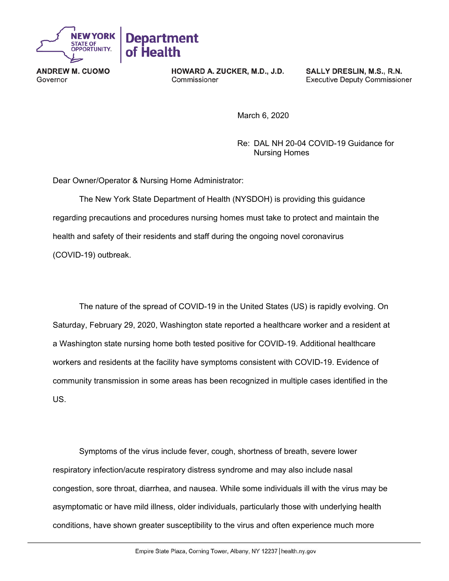

**ANDREW M. CUOMO** Governor

HOWARD A. ZUCKER, M.D., J.D. Commissioner

SALLY DRESLIN, M.S., R.N. **Executive Deputy Commissioner** 

March 6, 2020

Re: DAL NH 20-04 COVID-19 Guidance for Nursing Homes

Dear Owner/Operator & Nursing Home Administrator:

The New York State Department of Health (NYSDOH) is providing this guidance regarding precautions and procedures nursing homes must take to protect and maintain the health and safety of their residents and staff during the ongoing novel coronavirus (COVID-19) outbreak.

The nature of the spread of COVID-19 in the United States (US) is rapidly evolving. On Saturday, February 29, 2020, Washington state reported a healthcare worker and a resident at a Washington state nursing home both tested positive for COVID-19. Additional healthcare workers and residents at the facility have symptoms consistent with COVID-19. Evidence of community transmission in some areas has been recognized in multiple cases identified in the US.

Symptoms of the virus include fever, cough, shortness of breath, severe lower respiratory infection/acute respiratory distress syndrome and may also include nasal congestion, sore throat, diarrhea, and nausea. While some individuals ill with the virus may be asymptomatic or have mild illness, older individuals, particularly those with underlying health conditions, have shown greater susceptibility to the virus and often experience much more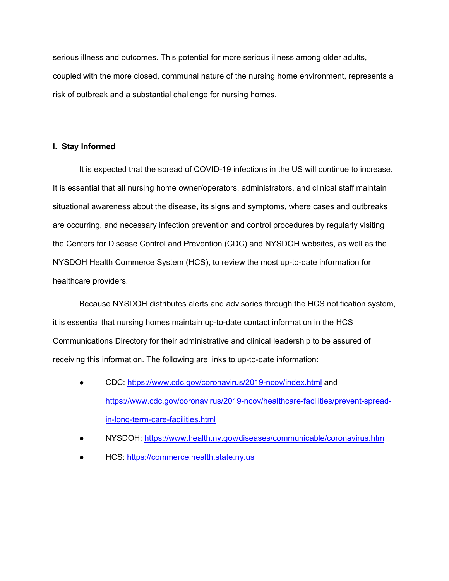serious illness and outcomes. This potential for more serious illness among older adults, coupled with the more closed, communal nature of the nursing home environment, represents a risk of outbreak and a substantial challenge for nursing homes.

# **I.****Stay Informed**

It is expected that the spread of COVID-19 infections in the US will continue to increase. It is essential that all nursing home owner/operators, administrators, and clinical staff maintain situational awareness about the disease, its signs and symptoms, where cases and outbreaks are occurring, and necessary infection prevention and control procedures by regularly visiting the Centers for Disease Control and Prevention (CDC) and NYSDOH websites, as well as the NYSDOH Health Commerce System (HCS), to review the most up-to-date information for healthcare providers.

Because NYSDOH distributes alerts and advisories through the HCS notification system, it is essential that nursing homes maintain up-to-date contact information in the HCS Communications Directory for their administrative and clinical leadership to be assured of receiving this information. The following are links to up-to-date information:

- CDC: https://www.cdc.gov/coronavirus/2019-ncov/index.html and https://www.cdc.gov/coronavirus/2019-ncov/healthcare-facilities/prevent-spreadin-long-term-care-facilities.html
- NYSDOH: https://www.health.ny.gov/diseases/communicable/coronavirus.htm
- HCS: https://commerce.health.state.ny.us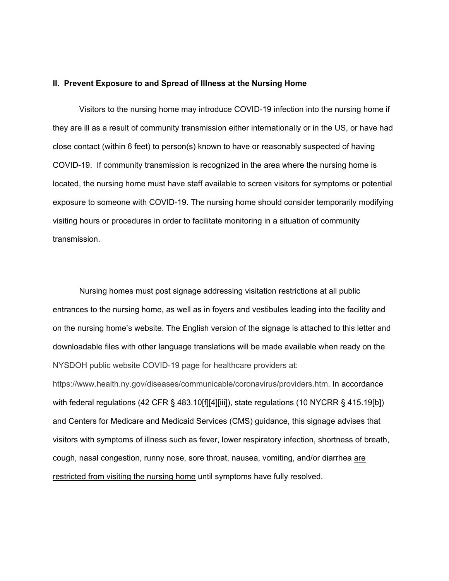#### **II. Prevent Exposure to and Spread of Illness at the Nursing Home**

Visitors to the nursing home may introduce COVID-19 infection into the nursing home if they are ill as a result of community transmission either internationally or in the US, or have had close contact (within 6 feet) to person(s) known to have or reasonably suspected of having COVID-19. If community transmission is recognized in the area where the nursing home is located, the nursing home must have staff available to screen visitors for symptoms or potential exposure to someone with COVID-19. The nursing home should consider temporarily modifying visiting hours or procedures in order to facilitate monitoring in a situation of community transmission.

Nursing homes must post signage addressing visitation restrictions at all public entrances to the nursing home, as well as in foyers and vestibules leading into the facility and on the nursing home's website. The English version of the signage is attached to this letter and downloadable files with other language translations will be made available when ready on the NYSDOH public website COVID-19 page for healthcare providers at:

https://www.health.ny.gov/diseases/communicable/coronavirus/providers.htm. In accordance with federal regulations (42 CFR § 483.10[f][4][iii]), state regulations (10 NYCRR § 415.19[b]) and Centers for Medicare and Medicaid Services (CMS) guidance, this signage advises that visitors with symptoms of illness such as fever, lower respiratory infection, shortness of breath, cough, nasal congestion, runny nose, sore throat, nausea, vomiting, and/or diarrhea are restricted from visiting the nursing home until symptoms have fully resolved.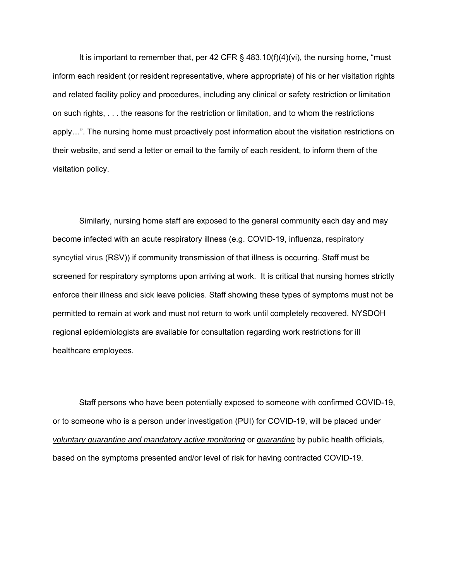It is important to remember that, per 42 CFR  $\S$  483.10(f)(4)(vi), the nursing home, "must inform each resident (or resident representative, where appropriate) of his or her visitation rights and related facility policy and procedures, including any clinical or safety restriction or limitation on such rights, . . . the reasons for the restriction or limitation, and to whom the restrictions apply…". The nursing home must proactively post information about the visitation restrictions on their website, and send a letter or email to the family of each resident, to inform them of the visitation policy.

Similarly, nursing home staff are exposed to the general community each day and may become infected with an acute respiratory illness (e.g. COVID-19, influenza, respiratory syncytial virus (RSV)) if community transmission of that illness is occurring. Staff must be screened for respiratory symptoms upon arriving at work. It is critical that nursing homes strictly enforce their illness and sick leave policies. Staff showing these types of symptoms must not be permitted to remain at work and must not return to work until completely recovered. NYSDOH regional epidemiologists are available for consultation regarding work restrictions for ill healthcare employees.

Staff persons who have been potentially exposed to someone with confirmed COVID-19, or to someone who is a person under investigation (PUI) for COVID-19, will be placed under *voluntary quarantine and mandatory active monitoring* or *quarantine* by public health officials*,*  based on the symptoms presented and/or level of risk for having contracted COVID-19.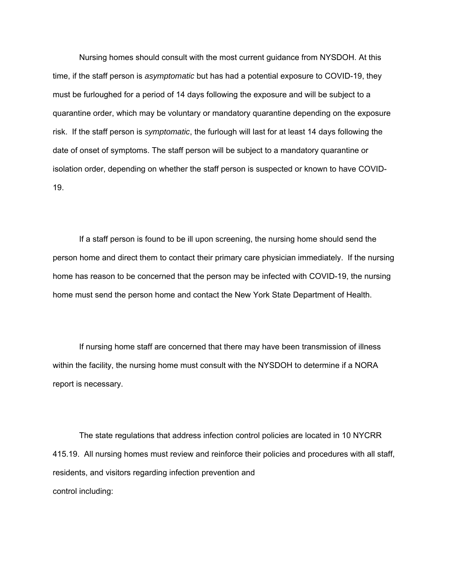Nursing homes should consult with the most current guidance from NYSDOH. At this time, if the staff person is *asymptomatic* but has had a potential exposure to COVID-19, they must be furloughed for a period of 14 days following the exposure and will be subject to a quarantine order, which may be voluntary or mandatory quarantine depending on the exposure risk. If the staff person is *symptomatic*, the furlough will last for at least 14 days following the date of onset of symptoms. The staff person will be subject to a mandatory quarantine or isolation order, depending on whether the staff person is suspected or known to have COVID-19.

If a staff person is found to be ill upon screening, the nursing home should send the person home and direct them to contact their primary care physician immediately. If the nursing home has reason to be concerned that the person may be infected with COVID-19, the nursing home must send the person home and contact the New York State Department of Health.

If nursing home staff are concerned that there may have been transmission of illness within the facility, the nursing home must consult with the NYSDOH to determine if a NORA report is necessary.

The state regulations that address infection control policies are located in 10 NYCRR 415.19. All nursing homes must review and reinforce their policies and procedures with all staff, residents, and visitors regarding infection prevention and control including: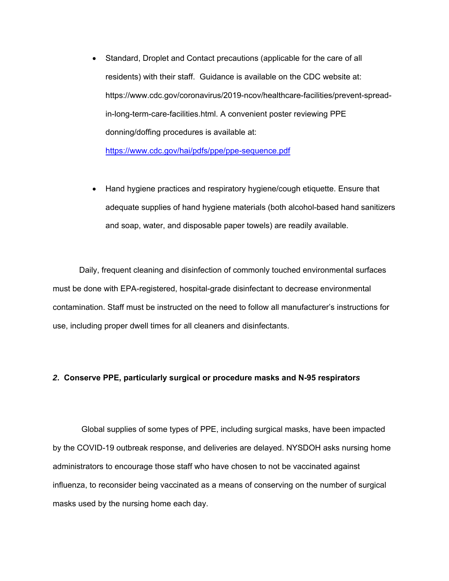- Standard, Droplet and Contact precautions (applicable for the care of all residents) with their staff. Guidance is available on the CDC website at: https://www.cdc.gov/coronavirus/2019-ncov/healthcare-facilities/prevent-spreadin-long-term-care-facilities.html. A convenient poster reviewing PPE donning/doffing procedures is available at: https://www.cdc.gov/hai/pdfs/ppe/ppe-sequence.pdf
- Hand hygiene practices and respiratory hygiene/cough etiquette. Ensure that adequate supplies of hand hygiene materials (both alcohol-based hand sanitizers and soap, water, and disposable paper towels) are readily available.

Daily, frequent cleaning and disinfection of commonly touched environmental surfaces must be done with EPA-registered, hospital-grade disinfectant to decrease environmental contamination. Staff must be instructed on the need to follow all manufacturer's instructions for use, including proper dwell times for all cleaners and disinfectants.

### *2***. Conserve PPE, particularly surgical or procedure masks and N-95 respirator***s*

Global supplies of some types of PPE, including surgical masks, have been impacted by the COVID-19 outbreak response, and deliveries are delayed. NYSDOH asks nursing home administrators to encourage those staff who have chosen to not be vaccinated against influenza, to reconsider being vaccinated as a means of conserving on the number of surgical masks used by the nursing home each day.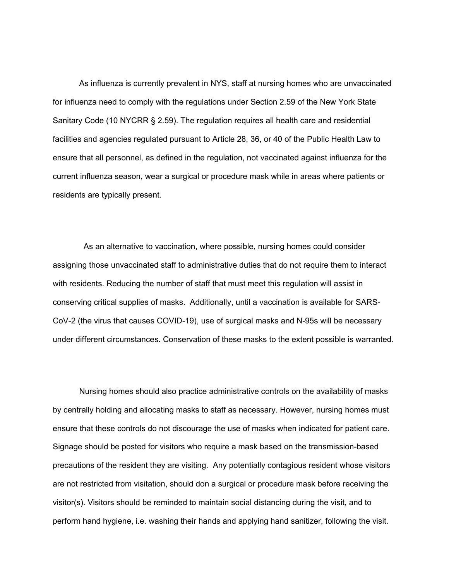As influenza is currently prevalent in NYS, staff at nursing homes who are unvaccinated for influenza need to comply with the regulations under Section 2.59 of the New York State Sanitary Code (10 NYCRR § 2.59). The regulation requires all health care and residential facilities and agencies regulated pursuant to Article 28, 36, or 40 of the Public Health Law to ensure that all personnel, as defined in the regulation, not vaccinated against influenza for the current influenza season, wear a surgical or procedure mask while in areas where patients or residents are typically present.

 As an alternative to vaccination, where possible, nursing homes could consider assigning those unvaccinated staff to administrative duties that do not require them to interact with residents. Reducing the number of staff that must meet this regulation will assist in conserving critical supplies of masks. Additionally, until a vaccination is available for SARS-CoV-2 (the virus that causes COVID-19), use of surgical masks and N-95s will be necessary under different circumstances. Conservation of these masks to the extent possible is warranted.

Nursing homes should also practice administrative controls on the availability of masks by centrally holding and allocating masks to staff as necessary. However, nursing homes must ensure that these controls do not discourage the use of masks when indicated for patient care. Signage should be posted for visitors who require a mask based on the transmission-based precautions of the resident they are visiting. Any potentially contagious resident whose visitors are not restricted from visitation, should don a surgical or procedure mask before receiving the visitor(s). Visitors should be reminded to maintain social distancing during the visit, and to perform hand hygiene, i.e. washing their hands and applying hand sanitizer, following the visit.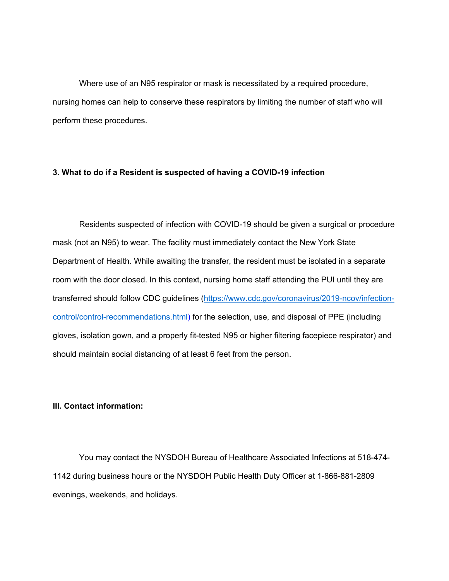Where use of an N95 respirator or mask is necessitated by a required procedure, nursing homes can help to conserve these respirators by limiting the number of staff who will perform these procedures.

### **3. What to do if a Resident is suspected of having a COVID-19 infection**

Residents suspected of infection with COVID-19 should be given a surgical or procedure mask (not an N95) to wear. The facility must immediately contact the New York State Department of Health. While awaiting the transfer, the resident must be isolated in a separate room with the door closed. In this context, nursing home staff attending the PUI until they are transferred should follow CDC guidelines (https://www.cdc.gov/coronavirus/2019-ncov/infectioncontrol/control-recommendations.html) for the selection, use, and disposal of PPE (including gloves, isolation gown, and a properly fit-tested N95 or higher filtering facepiece respirator) and should maintain social distancing of at least 6 feet from the person.

## **III. Contact information:**

You may contact the NYSDOH Bureau of Healthcare Associated Infections at 518-474- 1142 during business hours or the NYSDOH Public Health Duty Officer at 1-866-881-2809 evenings, weekends, and holidays.